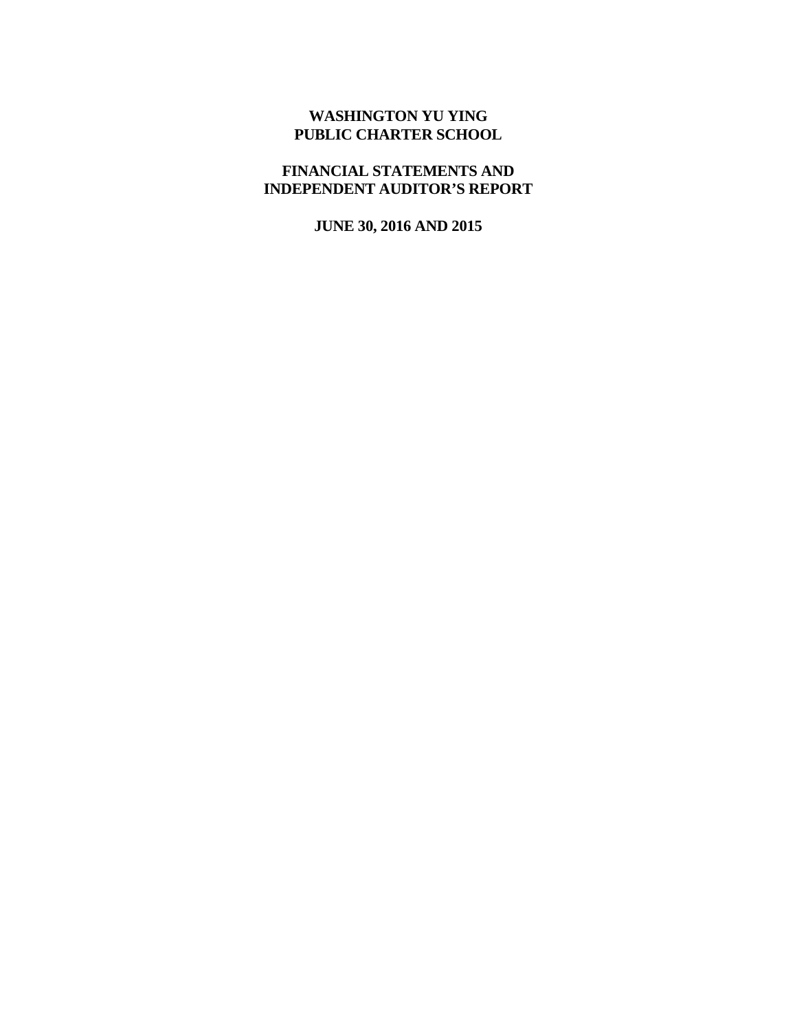# **WASHINGTON YU YING PUBLIC CHARTER SCHOOL**

# **FINANCIAL STATEMENTS AND INDEPENDENT AUDITOR'S REPORT**

**JUNE 30, 2016 AND 2015**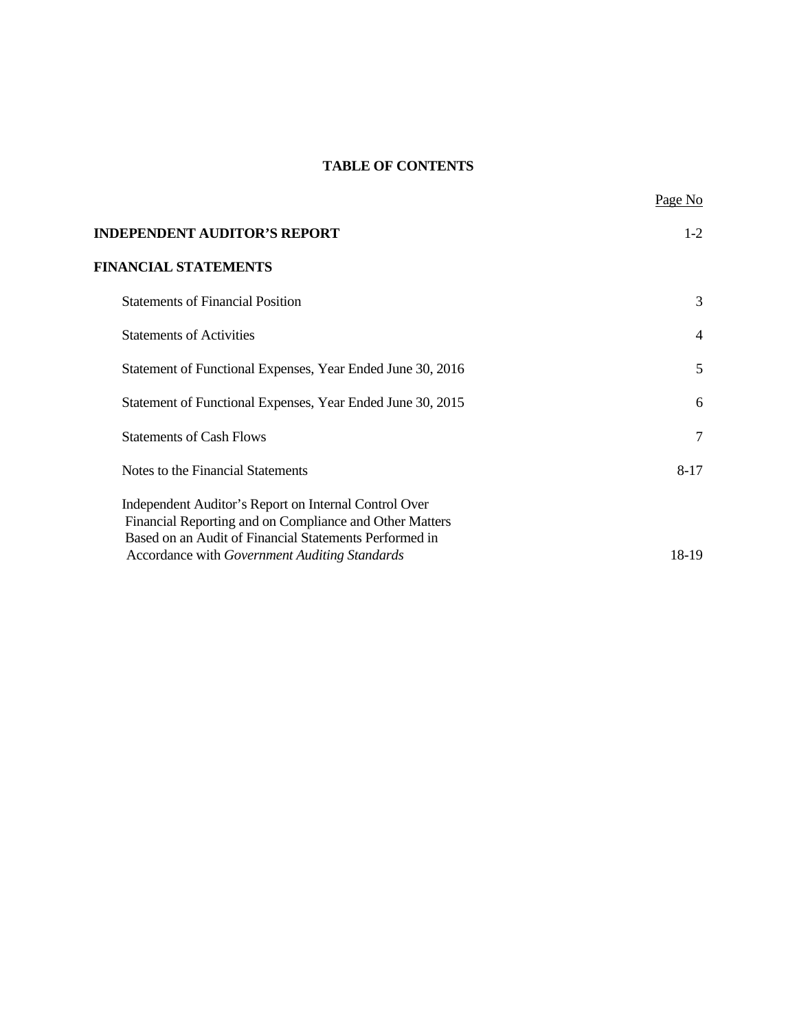# **TABLE OF CONTENTS**

|                                                                                                                                                                            | Page No  |
|----------------------------------------------------------------------------------------------------------------------------------------------------------------------------|----------|
| <b>INDEPENDENT AUDITOR'S REPORT</b>                                                                                                                                        | $1-2$    |
| <b>FINANCIAL STATEMENTS</b>                                                                                                                                                |          |
| <b>Statements of Financial Position</b>                                                                                                                                    | 3        |
| <b>Statements of Activities</b>                                                                                                                                            | 4        |
| Statement of Functional Expenses, Year Ended June 30, 2016                                                                                                                 | 5        |
| Statement of Functional Expenses, Year Ended June 30, 2015                                                                                                                 | 6        |
| <b>Statements of Cash Flows</b>                                                                                                                                            | 7        |
| Notes to the Financial Statements                                                                                                                                          | $8 - 17$ |
| Independent Auditor's Report on Internal Control Over<br>Financial Reporting and on Compliance and Other Matters<br>Based on an Audit of Financial Statements Performed in |          |
| Accordance with Government Auditing Standards                                                                                                                              | 18-19    |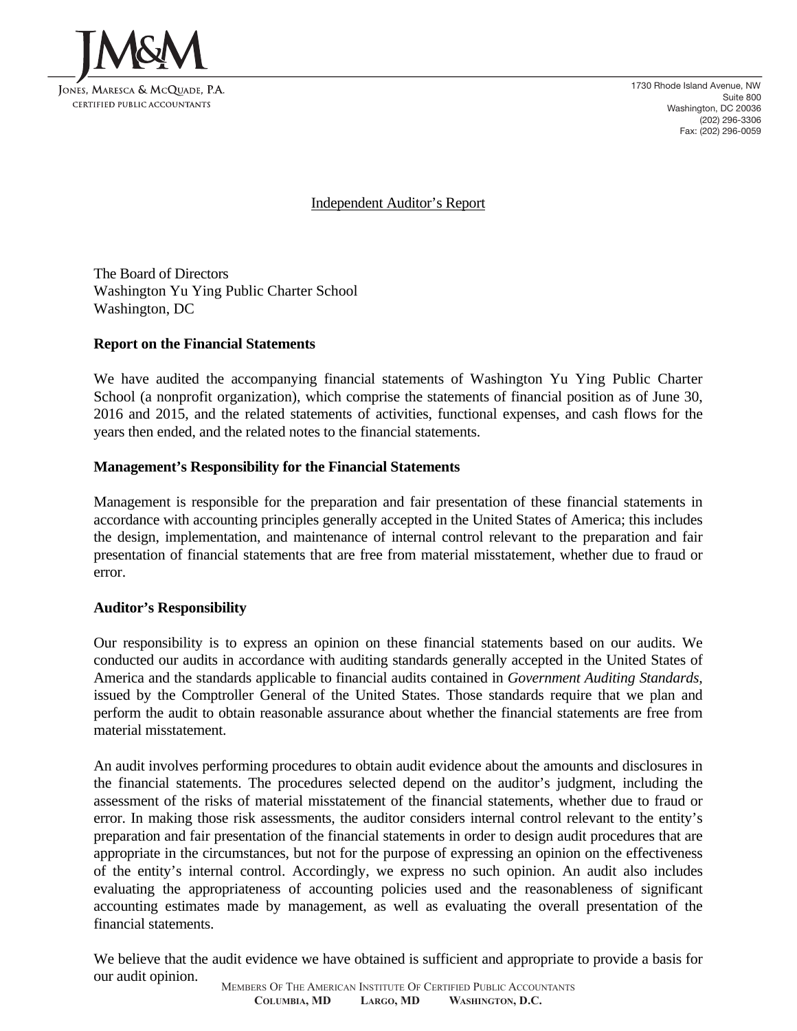

1730 Rhode Island Avenue, NW Suite 800 Washington, DC 20036 (202) 296-3306 Fax: (202) 296-0059

Independent Auditor's Report

The Board of Directors Washington Yu Ying Public Charter School Washington, DC

# **Report on the Financial Statements**

We have audited the accompanying financial statements of Washington Yu Ying Public Charter School (a nonprofit organization), which comprise the statements of financial position as of June 30, 2016 and 2015, and the related statements of activities, functional expenses, and cash flows for the years then ended, and the related notes to the financial statements.

# **Management's Responsibility for the Financial Statements**

Management is responsible for the preparation and fair presentation of these financial statements in accordance with accounting principles generally accepted in the United States of America; this includes the design, implementation, and maintenance of internal control relevant to the preparation and fair presentation of financial statements that are free from material misstatement, whether due to fraud or error.

# **Auditor's Responsibility**

Our responsibility is to express an opinion on these financial statements based on our audits. We conducted our audits in accordance with auditing standards generally accepted in the United States of America and the standards applicable to financial audits contained in *Government Auditing Standards,* issued by the Comptroller General of the United States. Those standards require that we plan and perform the audit to obtain reasonable assurance about whether the financial statements are free from material misstatement.

An audit involves performing procedures to obtain audit evidence about the amounts and disclosures in the financial statements. The procedures selected depend on the auditor's judgment, including the assessment of the risks of material misstatement of the financial statements, whether due to fraud or error. In making those risk assessments, the auditor considers internal control relevant to the entity's preparation and fair presentation of the financial statements in order to design audit procedures that are appropriate in the circumstances, but not for the purpose of expressing an opinion on the effectiveness of the entity's internal control. Accordingly, we express no such opinion. An audit also includes evaluating the appropriateness of accounting policies used and the reasonableness of significant accounting estimates made by management, as well as evaluating the overall presentation of the financial statements.

We believe that the audit evidence we have obtained is sufficient and appropriate to provide a basis for our audit opinion.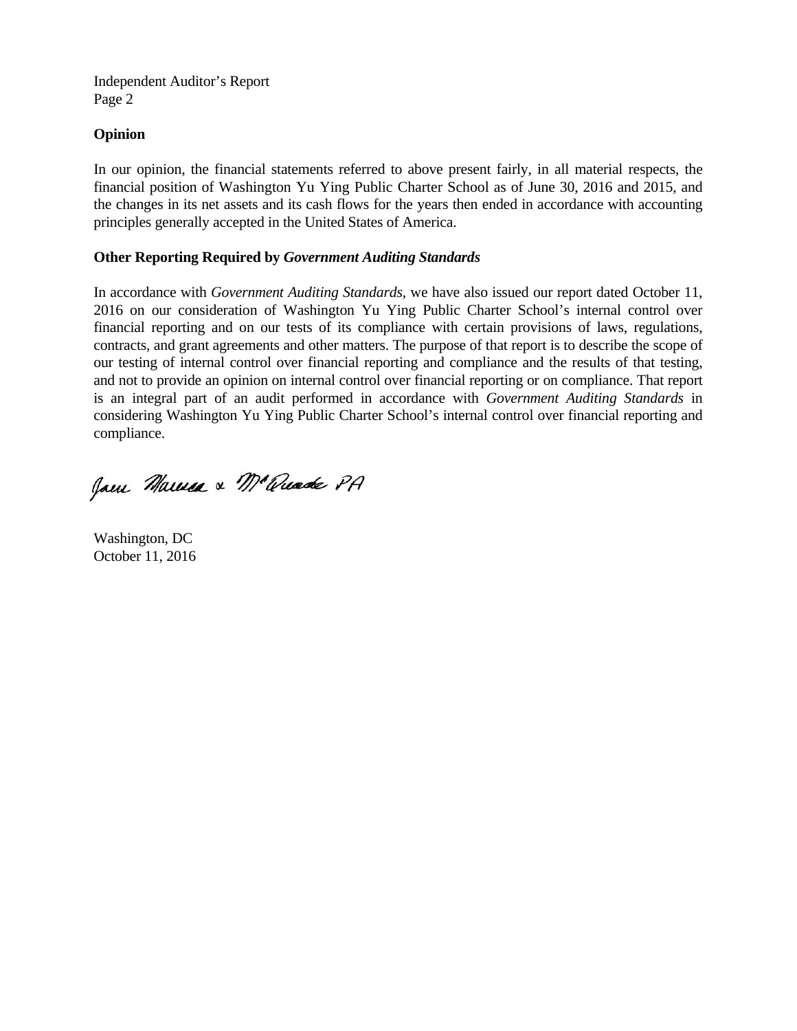Independent Auditor's Report Page 2

# **Opinion**

In our opinion, the financial statements referred to above present fairly, in all material respects, the financial position of Washington Yu Ying Public Charter School as of June 30, 2016 and 2015, and the changes in its net assets and its cash flows for the years then ended in accordance with accounting principles generally accepted in the United States of America.

# **Other Reporting Required by** *Government Auditing Standards*

In accordance with *Government Auditing Standards*, we have also issued our report dated October 11, 2016 on our consideration of Washington Yu Ying Public Charter School's internal control over financial reporting and on our tests of its compliance with certain provisions of laws, regulations, contracts, and grant agreements and other matters. The purpose of that report is to describe the scope of our testing of internal control over financial reporting and compliance and the results of that testing, and not to provide an opinion on internal control over financial reporting or on compliance. That report is an integral part of an audit performed in accordance with *Government Auditing Standards* in considering Washington Yu Ying Public Charter School's internal control over financial reporting and compliance.

Jam Marmea & Ma Quade PA

Washington, DC October 11, 2016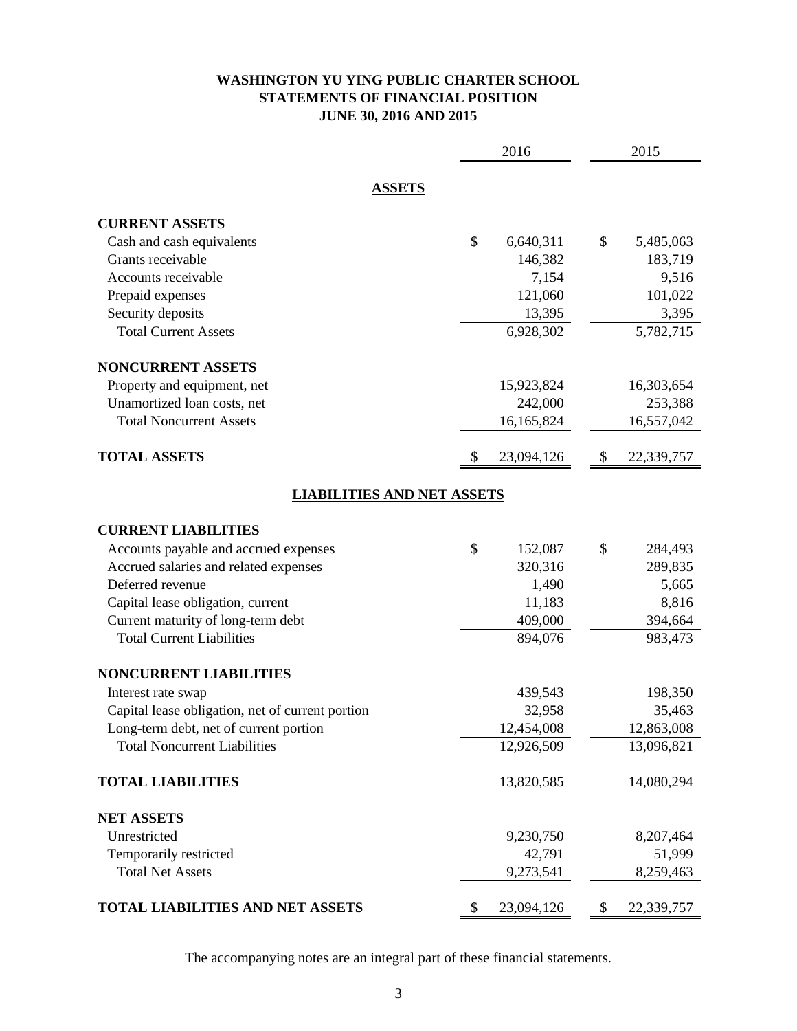# **WASHINGTON YU YING PUBLIC CHARTER SCHOOL STATEMENTS OF FINANCIAL POSITION JUNE 30, 2016 AND 2015**

|                                                  |               | 2016       |    | 2015       |
|--------------------------------------------------|---------------|------------|----|------------|
| <b>ASSETS</b>                                    |               |            |    |            |
| <b>CURRENT ASSETS</b>                            |               |            |    |            |
| Cash and cash equivalents                        | $\mathcal{S}$ | 6,640,311  | \$ | 5,485,063  |
| Grants receivable                                |               | 146,382    |    | 183,719    |
| Accounts receivable                              |               | 7,154      |    | 9,516      |
| Prepaid expenses                                 |               | 121,060    |    | 101,022    |
| Security deposits                                |               | 13,395     |    | 3,395      |
| <b>Total Current Assets</b>                      |               | 6,928,302  |    | 5,782,715  |
| <b>NONCURRENT ASSETS</b>                         |               |            |    |            |
| Property and equipment, net                      |               | 15,923,824 |    | 16,303,654 |
| Unamortized loan costs, net                      |               | 242,000    |    | 253,388    |
| <b>Total Noncurrent Assets</b>                   |               | 16,165,824 |    | 16,557,042 |
| <b>TOTAL ASSETS</b>                              | S             | 23,094,126 | \$ | 22,339,757 |
| <b>LIABILITIES AND NET ASSETS</b>                |               |            |    |            |
| <b>CURRENT LIABILITIES</b>                       |               |            |    |            |
| Accounts payable and accrued expenses            | \$            | 152,087    | \$ | 284,493    |
| Accrued salaries and related expenses            |               | 320,316    |    | 289,835    |
| Deferred revenue                                 |               | 1,490      |    | 5,665      |
| Capital lease obligation, current                |               | 11,183     |    | 8,816      |
| Current maturity of long-term debt               |               | 409,000    |    | 394,664    |
| <b>Total Current Liabilities</b>                 |               | 894,076    |    | 983,473    |
| <b>NONCURRENT LIABILITIES</b>                    |               |            |    |            |
| Interest rate swap                               |               | 439,543    |    | 198,350    |
| Capital lease obligation, net of current portion |               | 32,958     |    | 35,463     |
| Long-term debt, net of current portion           |               | 12,454,008 |    | 12,863,008 |
| <b>Total Noncurrent Liabilities</b>              |               | 12,926,509 |    | 13,096,821 |
| <b>TOTAL LIABILITIES</b>                         |               | 13,820,585 |    | 14,080,294 |
| <b>NET ASSETS</b>                                |               |            |    |            |
| Unrestricted                                     |               | 9,230,750  |    | 8,207,464  |
| Temporarily restricted                           |               | 42,791     |    | 51,999     |
| <b>Total Net Assets</b>                          |               | 9,273,541  |    | 8,259,463  |
| <b>TOTAL LIABILITIES AND NET ASSETS</b>          | \$            | 23,094,126 | \$ | 22,339,757 |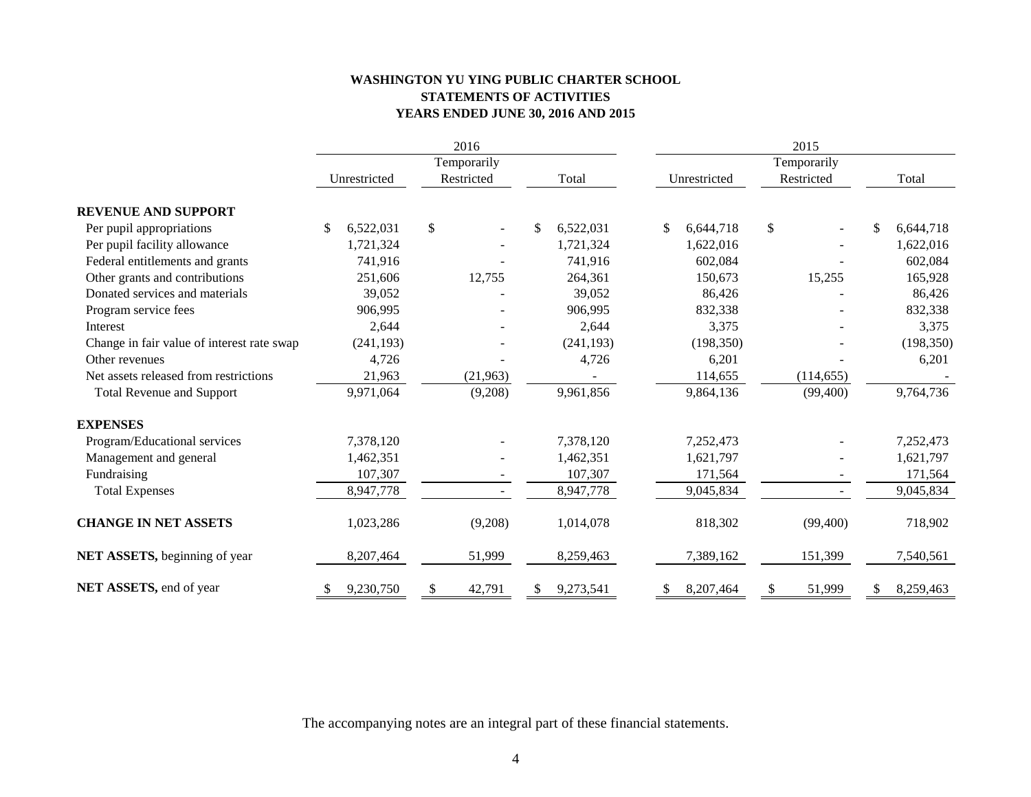## **WASHINGTON YU YING PUBLIC CHARTER SCHOOL STATEMENTS OF ACTIVITIES YEARS ENDED JUNE 30, 2016 AND 2015**

|                                            | 2016            |    |             |    | 2015       |             |              |              |                |    |            |  |
|--------------------------------------------|-----------------|----|-------------|----|------------|-------------|--------------|--------------|----------------|----|------------|--|
|                                            |                 |    | Temporarily |    |            | Temporarily |              |              |                |    |            |  |
|                                            | Unrestricted    |    | Restricted  |    | Total      |             | Unrestricted |              | Restricted     |    | Total      |  |
| <b>REVENUE AND SUPPORT</b>                 |                 |    |             |    |            |             |              |              |                |    |            |  |
| Per pupil appropriations                   | \$<br>6,522,031 | \$ |             |    | 6,522,031  | \$          | 6,644,718    | $\mathbb{S}$ |                | \$ | 6,644,718  |  |
| Per pupil facility allowance               | 1,721,324       |    |             |    | 1,721,324  |             | 1,622,016    |              |                |    | 1,622,016  |  |
| Federal entitlements and grants            | 741,916         |    |             |    | 741,916    |             | 602,084      |              |                |    | 602,084    |  |
| Other grants and contributions             | 251,606         |    | 12,755      |    | 264,361    |             | 150,673      |              | 15,255         |    | 165,928    |  |
| Donated services and materials             | 39,052          |    |             |    | 39,052     |             | 86,426       |              |                |    | 86,426     |  |
| Program service fees                       | 906,995         |    |             |    | 906,995    |             | 832,338      |              |                |    | 832,338    |  |
| Interest                                   | 2,644           |    |             |    | 2,644      |             | 3,375        |              |                |    | 3,375      |  |
| Change in fair value of interest rate swap | (241, 193)      |    |             |    | (241, 193) |             | (198, 350)   |              |                |    | (198, 350) |  |
| Other revenues                             | 4,726           |    |             |    | 4,726      |             | 6,201        |              |                |    | 6,201      |  |
| Net assets released from restrictions      | 21,963          |    | (21, 963)   |    |            |             | 114,655      |              | (114, 655)     |    |            |  |
| <b>Total Revenue and Support</b>           | 9,971,064       |    | (9,208)     |    | 9,961,856  |             | 9,864,136    |              | (99, 400)      |    | 9,764,736  |  |
| <b>EXPENSES</b>                            |                 |    |             |    |            |             |              |              |                |    |            |  |
| Program/Educational services               | 7,378,120       |    |             |    | 7,378,120  |             | 7,252,473    |              |                |    | 7,252,473  |  |
| Management and general                     | 1,462,351       |    |             |    | 1,462,351  |             | 1,621,797    |              | $\overline{a}$ |    | 1,621,797  |  |
| Fundraising                                | 107,307         |    |             |    | 107,307    |             | 171,564      |              |                |    | 171,564    |  |
| <b>Total Expenses</b>                      | 8,947,778       |    | $\sim$      |    | 8,947,778  |             | 9,045,834    |              |                |    | 9,045,834  |  |
| <b>CHANGE IN NET ASSETS</b>                | 1,023,286       |    | (9,208)     |    | 1,014,078  |             | 818,302      |              | (99,400)       |    | 718,902    |  |
| NET ASSETS, beginning of year              | 8,207,464       |    | 51,999      |    | 8,259,463  |             | 7,389,162    |              | 151,399        |    | 7,540,561  |  |
| NET ASSETS, end of year                    | \$<br>9,230,750 | \$ | 42,791      | \$ | 9,273,541  | \$          | 8,207,464    | \$           | 51,999         | \$ | 8,259,463  |  |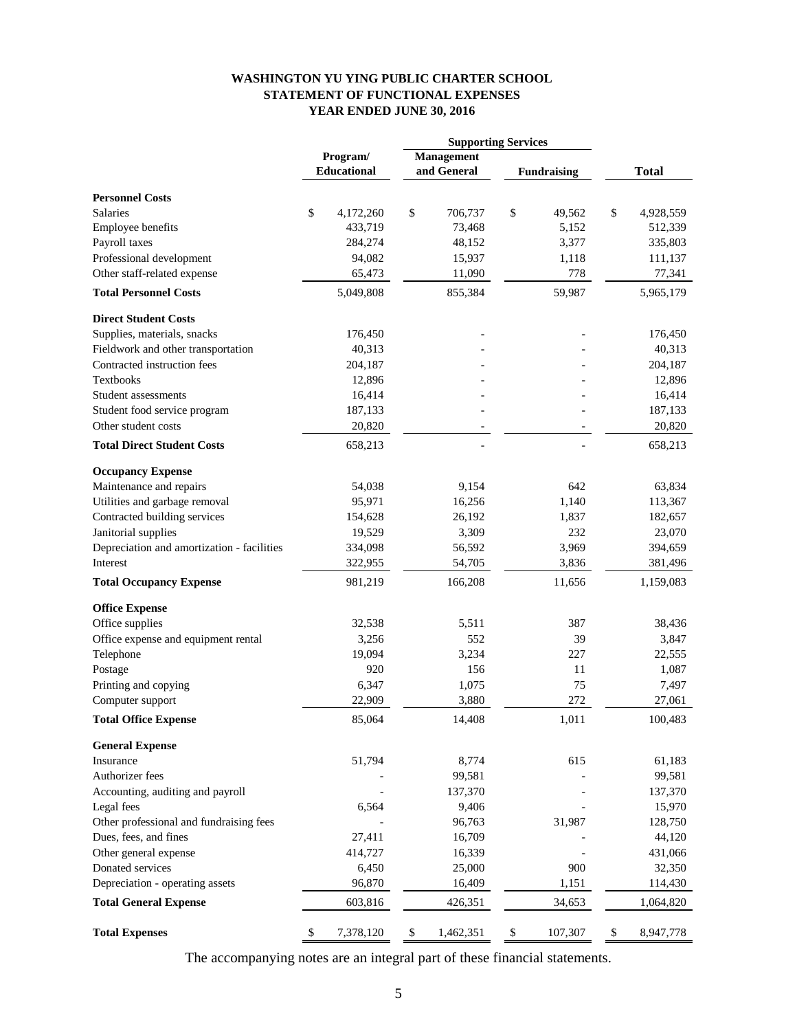## **WASHINGTON YU YING PUBLIC CHARTER SCHOOL STATEMENT OF FUNCTIONAL EXPENSES YEAR ENDED JUNE 30, 2016**

|                                            |                    | <b>Supporting Services</b> |                    |                 |
|--------------------------------------------|--------------------|----------------------------|--------------------|-----------------|
|                                            | Program/           | <b>Management</b>          |                    |                 |
|                                            | <b>Educational</b> | and General                | <b>Fundraising</b> | <b>Total</b>    |
| <b>Personnel Costs</b>                     |                    |                            |                    |                 |
| <b>Salaries</b>                            | \$<br>4,172,260    | \$<br>706,737              | \$<br>49,562       | \$<br>4,928,559 |
| Employee benefits                          | 433,719            | 73,468                     | 5,152              | 512,339         |
| Payroll taxes                              | 284,274            | 48,152                     | 3,377              | 335,803         |
| Professional development                   | 94,082             | 15,937                     | 1,118              | 111,137         |
| Other staff-related expense                | 65,473             | 11,090                     | 778                | 77,341          |
| <b>Total Personnel Costs</b>               | 5,049,808          | 855,384                    | 59,987             | 5,965,179       |
| <b>Direct Student Costs</b>                |                    |                            |                    |                 |
| Supplies, materials, snacks                | 176,450            |                            |                    | 176,450         |
| Fieldwork and other transportation         | 40,313             |                            |                    | 40,313          |
| Contracted instruction fees                | 204,187            |                            |                    | 204,187         |
| <b>Textbooks</b>                           | 12,896             |                            |                    | 12,896          |
| Student assessments                        | 16,414             |                            |                    | 16,414          |
| Student food service program               | 187,133            |                            |                    | 187,133         |
| Other student costs                        | 20,820             |                            |                    | 20,820          |
| <b>Total Direct Student Costs</b>          | 658,213            |                            |                    | 658,213         |
| <b>Occupancy Expense</b>                   |                    |                            |                    |                 |
| Maintenance and repairs                    | 54,038             | 9,154                      | 642                | 63,834          |
| Utilities and garbage removal              | 95,971             | 16,256                     | 1,140              | 113,367         |
| Contracted building services               | 154,628            | 26,192                     | 1,837              | 182,657         |
| Janitorial supplies                        | 19,529             | 3,309                      | 232                | 23,070          |
| Depreciation and amortization - facilities | 334,098            | 56,592                     | 3,969              | 394,659         |
| Interest                                   | 322,955            | 54,705                     | 3,836              | 381,496         |
| <b>Total Occupancy Expense</b>             | 981,219            | 166,208                    | 11,656             | 1,159,083       |
| <b>Office Expense</b>                      |                    |                            |                    |                 |
| Office supplies                            | 32,538             | 5,511                      | 387                | 38,436          |
| Office expense and equipment rental        | 3,256              | 552                        | 39                 | 3,847           |
| Telephone                                  | 19,094             | 3,234                      | 227                | 22,555          |
| Postage                                    | 920                | 156                        | 11                 | 1,087           |
| Printing and copying                       | 6,347              | 1,075                      | 75                 | 7,497           |
| Computer support                           | 22,909             | 3,880                      | 272                | 27,061          |
| <b>Total Office Expense</b>                | 85,064             | 14,408                     | 1,011              | 100,483         |
| <b>General Expense</b>                     |                    |                            |                    |                 |
| Insurance                                  | 51,794             | 8,774                      | 615                | 61,183          |
| Authorizer fees                            |                    | 99,581                     |                    | 99,581          |
| Accounting, auditing and payroll           |                    | 137,370                    |                    | 137,370         |
| Legal fees                                 | 6,564              | 9,406                      |                    | 15,970          |
| Other professional and fundraising fees    |                    | 96,763                     | 31,987             | 128,750         |
| Dues, fees, and fines                      | 27,411             | 16,709                     |                    | 44,120          |
| Other general expense                      | 414,727            | 16,339                     |                    | 431,066         |
| Donated services                           | 6,450              | 25,000                     | 900                | 32,350          |
| Depreciation - operating assets            | 96,870             | 16,409                     | 1,151              | 114,430         |
| <b>Total General Expense</b>               | 603,816            | 426,351                    | 34,653             | 1,064,820       |
|                                            |                    |                            |                    |                 |
| <b>Total Expenses</b>                      | \$<br>7,378,120    | \$<br>1,462,351            | \$<br>107,307      | \$<br>8,947,778 |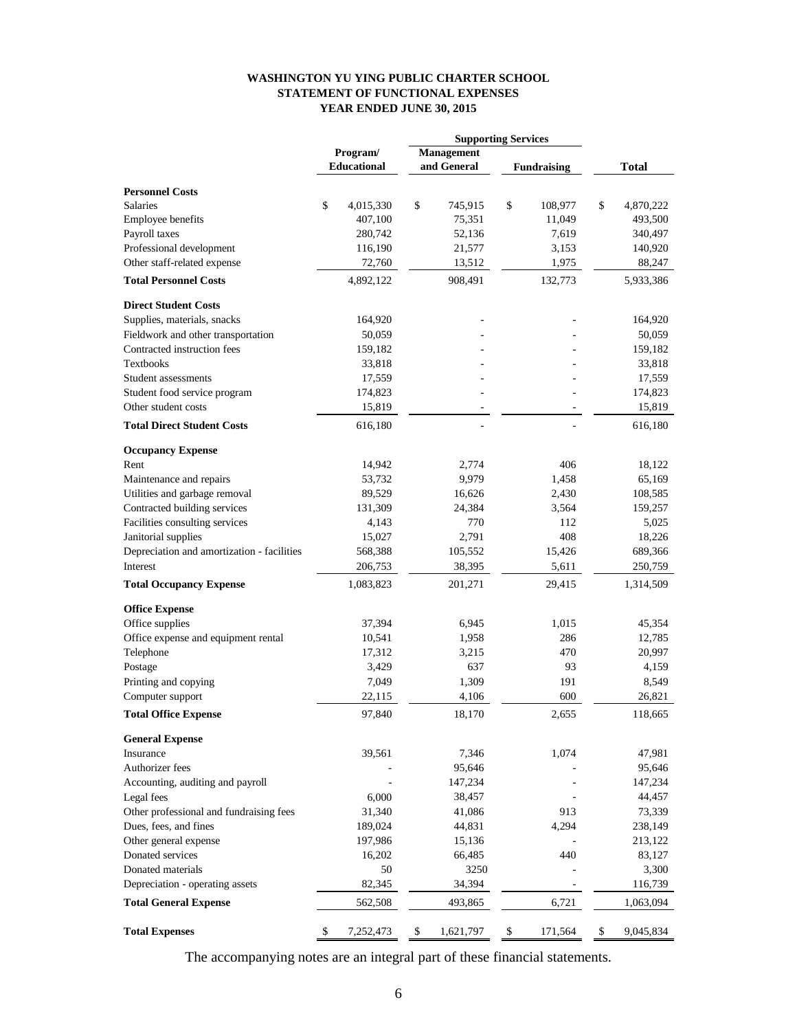#### **WASHINGTON YU YING PUBLIC CHARTER SCHOOL STATEMENT OF FUNCTIONAL EXPENSES YEAR ENDED JUNE 30, 2015**

|                                            |                    |                   | <b>Supporting Services</b> |                 |
|--------------------------------------------|--------------------|-------------------|----------------------------|-----------------|
|                                            | Program/           | <b>Management</b> |                            |                 |
|                                            | <b>Educational</b> | and General       | <b>Fundraising</b>         | <b>Total</b>    |
| <b>Personnel Costs</b>                     |                    |                   |                            |                 |
| Salaries                                   | \$<br>4,015,330    | \$<br>745,915     | \$<br>108,977              | \$<br>4,870,222 |
| Employee benefits                          | 407,100            | 75,351            | 11,049                     | 493,500         |
| Payroll taxes                              | 280,742            | 52,136            | 7,619                      | 340,497         |
| Professional development                   | 116,190            | 21,577            | 3,153                      | 140,920         |
| Other staff-related expense                | 72,760             | 13,512            | 1,975                      | 88,247          |
| <b>Total Personnel Costs</b>               | 4,892,122          | 908,491           | 132,773                    | 5,933,386       |
| <b>Direct Student Costs</b>                |                    |                   |                            |                 |
| Supplies, materials, snacks                | 164,920            |                   |                            | 164,920         |
| Fieldwork and other transportation         | 50,059             |                   |                            | 50,059          |
| Contracted instruction fees                | 159,182            |                   |                            | 159,182         |
| Textbooks                                  | 33,818             |                   |                            | 33,818          |
| Student assessments                        | 17,559             |                   |                            | 17,559          |
| Student food service program               | 174,823            |                   |                            | 174,823         |
| Other student costs                        | 15,819             |                   |                            | 15,819          |
| <b>Total Direct Student Costs</b>          | 616,180            |                   |                            | 616,180         |
| <b>Occupancy Expense</b>                   |                    |                   |                            |                 |
| Rent                                       | 14,942             | 2,774             | 406                        | 18,122          |
| Maintenance and repairs                    | 53,732             | 9,979             | 1,458                      | 65,169          |
| Utilities and garbage removal              | 89,529             | 16,626            | 2,430                      | 108,585         |
| Contracted building services               | 131,309            | 24,384            | 3,564                      | 159,257         |
| Facilities consulting services             | 4,143              | 770               | 112                        | 5,025           |
| Janitorial supplies                        | 15,027             | 2,791             | 408                        | 18,226          |
| Depreciation and amortization - facilities | 568,388            | 105,552           | 15,426                     | 689,366         |
| Interest                                   | 206,753            | 38,395            | 5,611                      | 250,759         |
| <b>Total Occupancy Expense</b>             | 1,083,823          | 201,271           | 29,415                     | 1,314,509       |
| <b>Office Expense</b>                      |                    |                   |                            |                 |
| Office supplies                            | 37,394             | 6,945             | 1,015                      | 45,354          |
| Office expense and equipment rental        | 10,541             | 1,958             | 286                        | 12,785          |
| Telephone                                  | 17,312             | 3,215             | 470                        | 20,997          |
| Postage                                    | 3,429              | 637               | 93                         | 4,159           |
| Printing and copying                       | 7,049              | 1,309             | 191                        | 8,549           |
| Computer support                           | 22,115             | 4,106             | 600                        | 26,821          |
| <b>Total Office Expense</b>                | 97,840             | 18,170            | 2,655                      | 118,665         |
| <b>General Expense</b>                     |                    |                   |                            |                 |
| Insurance                                  | 39,561             | 7,346             | 1,074                      | 47,981          |
| Authorizer fees                            |                    | 95,646            |                            | 95,646          |
| Accounting, auditing and payroll           |                    | 147,234           |                            | 147,234         |
| Legal fees                                 | 6,000              | 38,457            |                            | 44,457          |
| Other professional and fundraising fees    | 31,340             | 41,086            | 913                        | 73,339          |
| Dues, fees, and fines                      | 189,024            | 44,831            | 4,294                      | 238,149         |
| Other general expense                      | 197,986            | 15,136            |                            | 213,122         |
| Donated services                           | 16,202             | 66,485            | 440                        | 83,127          |
| Donated materials                          | 50                 | 3250              |                            | 3,300           |
| Depreciation - operating assets            | 82,345             | 34,394            |                            | 116,739         |
| <b>Total General Expense</b>               | 562,508            | 493,865           | 6,721                      | 1,063,094       |
| <b>Total Expenses</b>                      | \$<br>7,252,473    | \$<br>1,621,797   | \$<br>171,564              | \$<br>9,045,834 |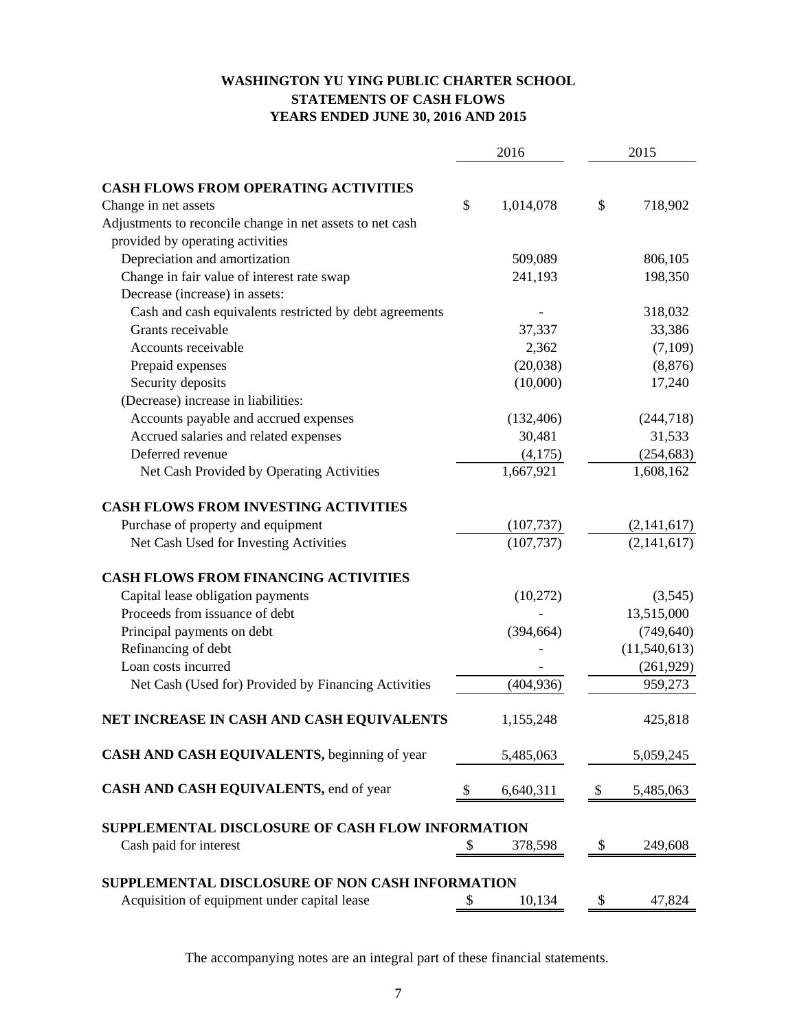# **WASHINGTON YU YING PUBLIC CHARTER SCHOOL STATEMENTS OF CASH FLOWS YEARS ENDED JUNE 30, 2016 AND 2015**

|                                                                              |                           | 2016       | 2015            |
|------------------------------------------------------------------------------|---------------------------|------------|-----------------|
| <b>CASH FLOWS FROM OPERATING ACTIVITIES</b>                                  |                           |            |                 |
| Change in net assets                                                         | \$                        | 1,014,078  | \$<br>718,902   |
| Adjustments to reconcile change in net assets to net cash                    |                           |            |                 |
| provided by operating activities                                             |                           |            |                 |
| Depreciation and amortization                                                |                           | 509,089    | 806,105         |
| Change in fair value of interest rate swap                                   |                           | 241,193    | 198,350         |
| Decrease (increase) in assets:                                               |                           |            |                 |
|                                                                              |                           |            | 318,032         |
| Cash and cash equivalents restricted by debt agreements<br>Grants receivable |                           |            |                 |
| Accounts receivable                                                          |                           | 37,337     | 33,386          |
|                                                                              |                           | 2,362      | (7,109)         |
| Prepaid expenses                                                             |                           | (20,038)   | (8, 876)        |
| Security deposits                                                            |                           | (10,000)   | 17,240          |
| (Decrease) increase in liabilities:                                          |                           |            |                 |
| Accounts payable and accrued expenses                                        |                           | (132, 406) | (244, 718)      |
| Accrued salaries and related expenses                                        |                           | 30,481     | 31,533          |
| Deferred revenue                                                             |                           | (4,175)    | (254, 683)      |
| Net Cash Provided by Operating Activities                                    |                           | 1,667,921  | 1,608,162       |
| <b>CASH FLOWS FROM INVESTING ACTIVITIES</b>                                  |                           |            |                 |
| Purchase of property and equipment                                           |                           | (107, 737) | (2,141,617)     |
| Net Cash Used for Investing Activities                                       |                           | (107, 737) | (2,141,617)     |
| <b>CASH FLOWS FROM FINANCING ACTIVITIES</b>                                  |                           |            |                 |
| Capital lease obligation payments                                            |                           | (10,272)   | (3,545)         |
| Proceeds from issuance of debt                                               |                           |            | 13,515,000      |
| Principal payments on debt                                                   |                           | (394, 664) | (749, 640)      |
| Refinancing of debt                                                          |                           |            | (11,540,613)    |
| Loan costs incurred                                                          |                           |            | (261, 929)      |
| Net Cash (Used for) Provided by Financing Activities                         |                           | (404, 936) | 959,273         |
|                                                                              |                           |            |                 |
| NET INCREASE IN CASH AND CASH EQUIVALENTS                                    |                           | 1,155,248  | 425,818         |
| CASH AND CASH EQUIVALENTS, beginning of year                                 |                           | 5,485,063  | 5,059,245       |
|                                                                              |                           |            |                 |
| CASH AND CASH EQUIVALENTS, end of year                                       | $\boldsymbol{\mathsf{S}}$ | 6,640,311  | \$<br>5,485,063 |
| SUPPLEMENTAL DISCLOSURE OF CASH FLOW INFORMATION                             |                           |            |                 |
| Cash paid for interest                                                       | \$                        | 378,598    | \$<br>249,608   |
| SUPPLEMENTAL DISCLOSURE OF NON CASH INFORMATION                              |                           |            |                 |
| Acquisition of equipment under capital lease                                 | \$                        | 10,134     | \$<br>47,824    |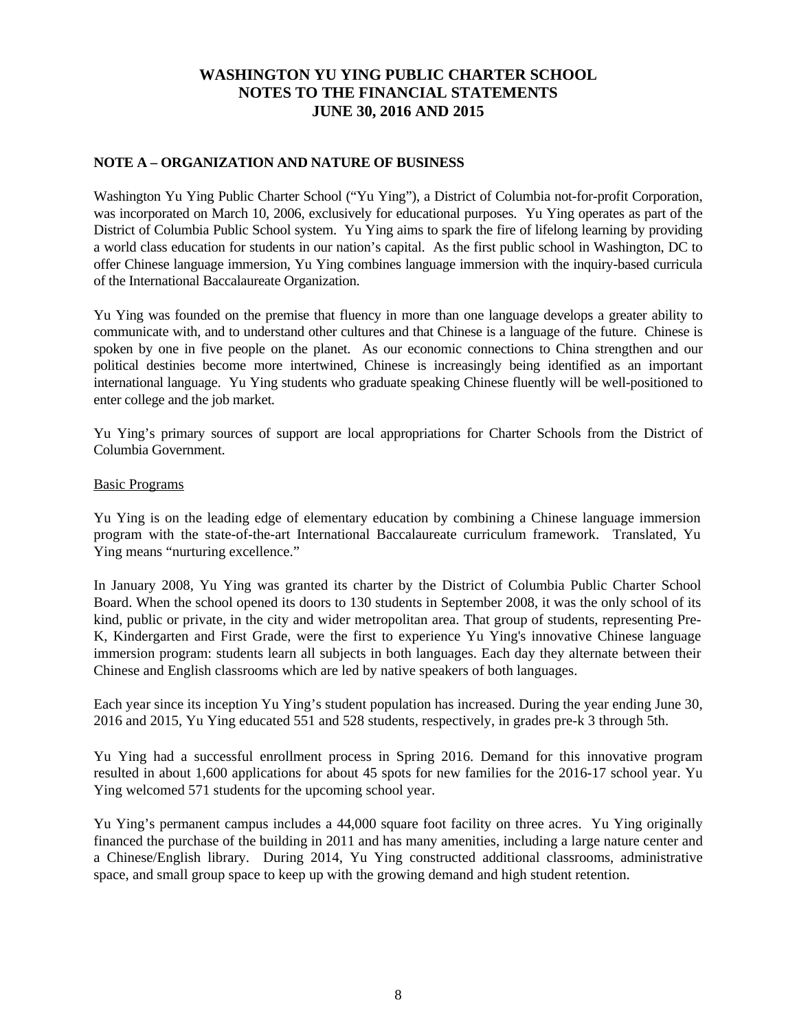# **NOTE A – ORGANIZATION AND NATURE OF BUSINESS**

Washington Yu Ying Public Charter School ("Yu Ying"), a District of Columbia not-for-profit Corporation, was incorporated on March 10, 2006, exclusively for educational purposes. Yu Ying operates as part of the District of Columbia Public School system. Yu Ying aims to spark the fire of lifelong learning by providing a world class education for students in our nation's capital. As the first public school in Washington, DC to offer Chinese language immersion, Yu Ying combines language immersion with the inquiry-based curricula of the International Baccalaureate Organization.

Yu Ying was founded on the premise that fluency in more than one language develops a greater ability to communicate with, and to understand other cultures and that Chinese is a language of the future. Chinese is spoken by one in five people on the planet. As our economic connections to China strengthen and our political destinies become more intertwined, Chinese is increasingly being identified as an important international language. Yu Ying students who graduate speaking Chinese fluently will be well-positioned to enter college and the job market.

Yu Ying's primary sources of support are local appropriations for Charter Schools from the District of Columbia Government.

### Basic Programs

Yu Ying is on the leading edge of elementary education by combining a Chinese language immersion program with the state-of-the-art International Baccalaureate curriculum framework. Translated, Yu Ying means "nurturing excellence."

In January 2008, Yu Ying was granted its charter by the District of Columbia Public Charter School Board. When the school opened its doors to 130 students in September 2008, it was the only school of its kind, public or private, in the city and wider metropolitan area. That group of students, representing Pre-K, Kindergarten and First Grade, were the first to experience Yu Ying's innovative Chinese language immersion program: students learn all subjects in both languages. Each day they alternate between their Chinese and English classrooms which are led by native speakers of both languages.

Each year since its inception Yu Ying's student population has increased. During the year ending June 30, 2016 and 2015, Yu Ying educated 551 and 528 students, respectively, in grades pre-k 3 through 5th.

Yu Ying had a successful enrollment process in Spring 2016. Demand for this innovative program resulted in about 1,600 applications for about 45 spots for new families for the 2016-17 school year. Yu Ying welcomed 571 students for the upcoming school year.

Yu Ying's permanent campus includes a 44,000 square foot facility on three acres. Yu Ying originally financed the purchase of the building in 2011 and has many amenities, including a large nature center and a Chinese/English library. During 2014, Yu Ying constructed additional classrooms, administrative space, and small group space to keep up with the growing demand and high student retention.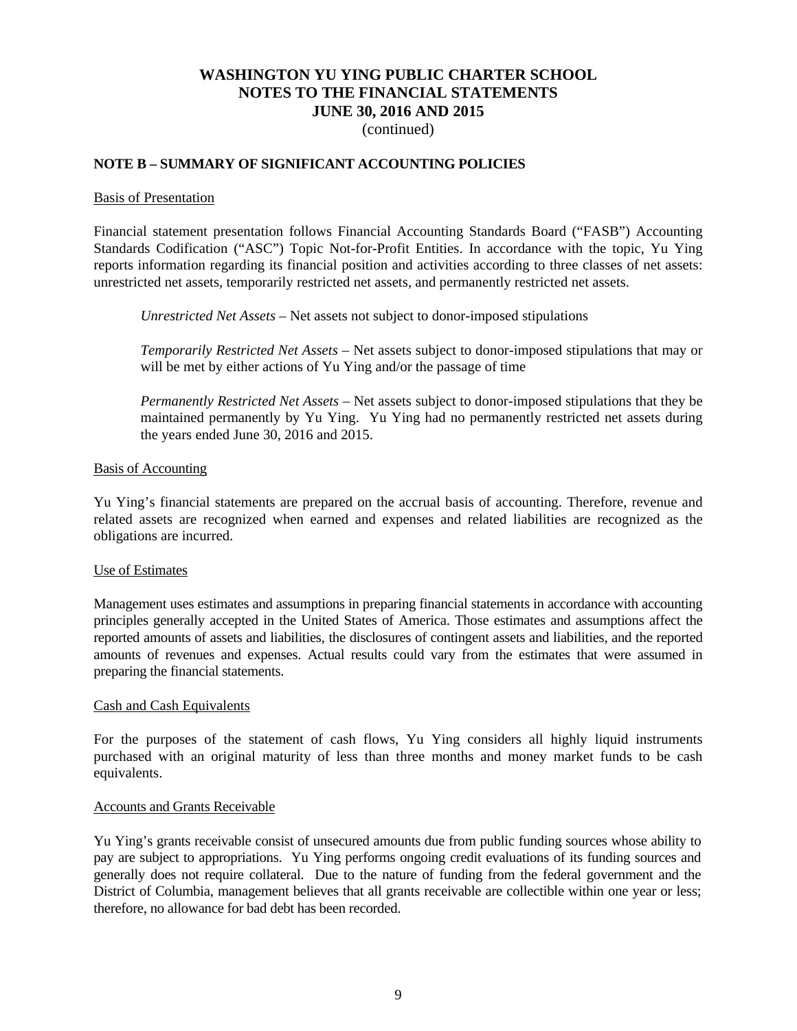(continued)

# **NOTE B – SUMMARY OF SIGNIFICANT ACCOUNTING POLICIES**

#### Basis of Presentation

Financial statement presentation follows Financial Accounting Standards Board ("FASB") Accounting Standards Codification ("ASC") Topic Not-for-Profit Entities. In accordance with the topic, Yu Ying reports information regarding its financial position and activities according to three classes of net assets: unrestricted net assets, temporarily restricted net assets, and permanently restricted net assets.

*Unrestricted Net Assets* – Net assets not subject to donor-imposed stipulations

*Temporarily Restricted Net Assets* – Net assets subject to donor-imposed stipulations that may or will be met by either actions of Yu Ying and/or the passage of time

*Permanently Restricted Net Assets* – Net assets subject to donor-imposed stipulations that they be maintained permanently by Yu Ying. Yu Ying had no permanently restricted net assets during the years ended June 30, 2016 and 2015.

### Basis of Accounting

Yu Ying's financial statements are prepared on the accrual basis of accounting. Therefore, revenue and related assets are recognized when earned and expenses and related liabilities are recognized as the obligations are incurred.

#### Use of Estimates

Management uses estimates and assumptions in preparing financial statements in accordance with accounting principles generally accepted in the United States of America. Those estimates and assumptions affect the reported amounts of assets and liabilities, the disclosures of contingent assets and liabilities, and the reported amounts of revenues and expenses. Actual results could vary from the estimates that were assumed in preparing the financial statements.

#### Cash and Cash Equivalents

For the purposes of the statement of cash flows, Yu Ying considers all highly liquid instruments purchased with an original maturity of less than three months and money market funds to be cash equivalents.

#### Accounts and Grants Receivable

Yu Ying's grants receivable consist of unsecured amounts due from public funding sources whose ability to pay are subject to appropriations. Yu Ying performs ongoing credit evaluations of its funding sources and generally does not require collateral. Due to the nature of funding from the federal government and the District of Columbia, management believes that all grants receivable are collectible within one year or less; therefore, no allowance for bad debt has been recorded.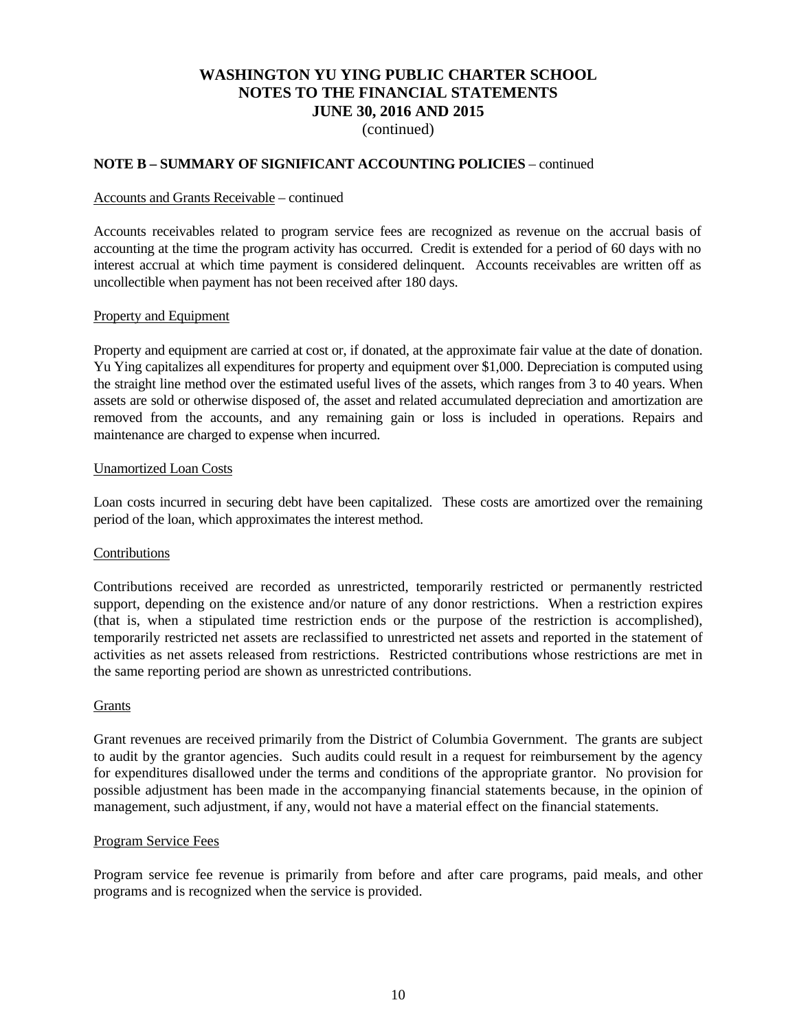(continued)

# **NOTE B – SUMMARY OF SIGNIFICANT ACCOUNTING POLICIES** – continued

#### Accounts and Grants Receivable – continued

Accounts receivables related to program service fees are recognized as revenue on the accrual basis of accounting at the time the program activity has occurred. Credit is extended for a period of 60 days with no interest accrual at which time payment is considered delinquent. Accounts receivables are written off as uncollectible when payment has not been received after 180 days.

#### Property and Equipment

Property and equipment are carried at cost or, if donated, at the approximate fair value at the date of donation. Yu Ying capitalizes all expenditures for property and equipment over \$1,000. Depreciation is computed using the straight line method over the estimated useful lives of the assets, which ranges from 3 to 40 years. When assets are sold or otherwise disposed of, the asset and related accumulated depreciation and amortization are removed from the accounts, and any remaining gain or loss is included in operations. Repairs and maintenance are charged to expense when incurred.

#### Unamortized Loan Costs

Loan costs incurred in securing debt have been capitalized. These costs are amortized over the remaining period of the loan, which approximates the interest method.

#### Contributions

Contributions received are recorded as unrestricted, temporarily restricted or permanently restricted support, depending on the existence and/or nature of any donor restrictions. When a restriction expires (that is, when a stipulated time restriction ends or the purpose of the restriction is accomplished), temporarily restricted net assets are reclassified to unrestricted net assets and reported in the statement of activities as net assets released from restrictions. Restricted contributions whose restrictions are met in the same reporting period are shown as unrestricted contributions.

#### Grants

Grant revenues are received primarily from the District of Columbia Government. The grants are subject to audit by the grantor agencies. Such audits could result in a request for reimbursement by the agency for expenditures disallowed under the terms and conditions of the appropriate grantor. No provision for possible adjustment has been made in the accompanying financial statements because, in the opinion of management, such adjustment, if any, would not have a material effect on the financial statements.

#### Program Service Fees

Program service fee revenue is primarily from before and after care programs, paid meals, and other programs and is recognized when the service is provided.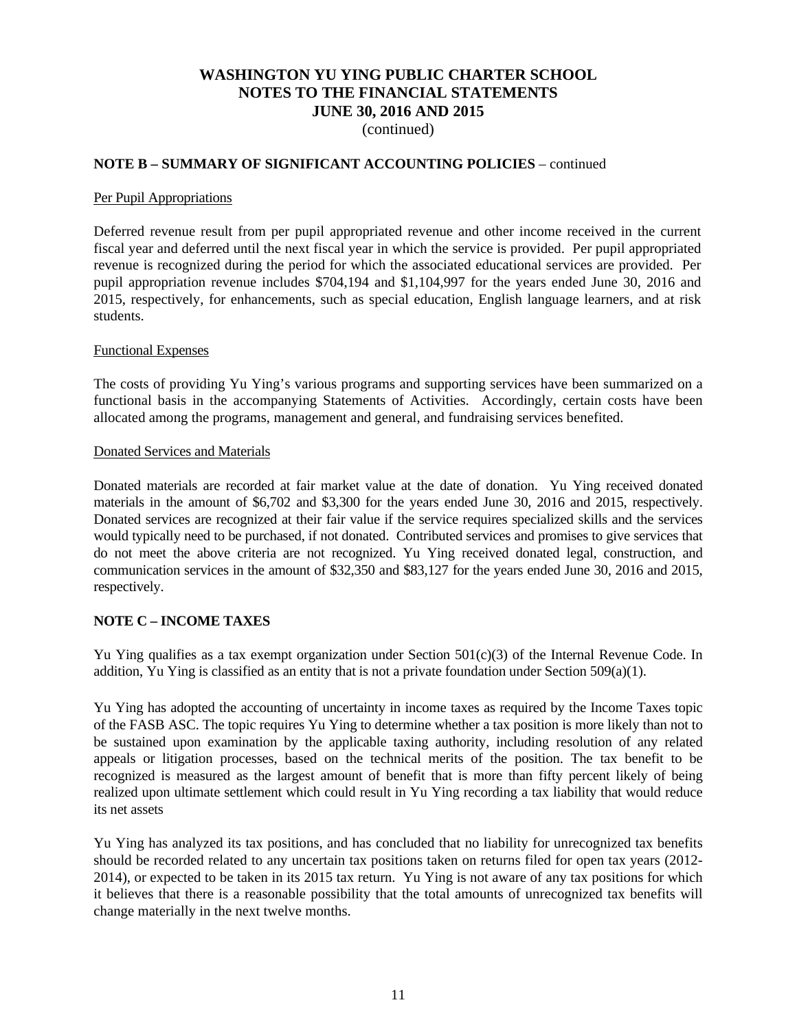(continued)

# **NOTE B – SUMMARY OF SIGNIFICANT ACCOUNTING POLICIES** – continued

#### Per Pupil Appropriations

Deferred revenue result from per pupil appropriated revenue and other income received in the current fiscal year and deferred until the next fiscal year in which the service is provided. Per pupil appropriated revenue is recognized during the period for which the associated educational services are provided. Per pupil appropriation revenue includes \$704,194 and \$1,104,997 for the years ended June 30, 2016 and 2015, respectively, for enhancements, such as special education, English language learners, and at risk students.

#### Functional Expenses

The costs of providing Yu Ying's various programs and supporting services have been summarized on a functional basis in the accompanying Statements of Activities. Accordingly, certain costs have been allocated among the programs, management and general, and fundraising services benefited.

#### Donated Services and Materials

Donated materials are recorded at fair market value at the date of donation. Yu Ying received donated materials in the amount of \$6,702 and \$3,300 for the years ended June 30, 2016 and 2015, respectively. Donated services are recognized at their fair value if the service requires specialized skills and the services would typically need to be purchased, if not donated. Contributed services and promises to give services that do not meet the above criteria are not recognized. Yu Ying received donated legal, construction, and communication services in the amount of \$32,350 and \$83,127 for the years ended June 30, 2016 and 2015, respectively.

#### **NOTE C – INCOME TAXES**

Yu Ying qualifies as a tax exempt organization under Section 501(c)(3) of the Internal Revenue Code. In addition, Yu Ying is classified as an entity that is not a private foundation under Section 509(a)(1).

Yu Ying has adopted the accounting of uncertainty in income taxes as required by the Income Taxes topic of the FASB ASC. The topic requires Yu Ying to determine whether a tax position is more likely than not to be sustained upon examination by the applicable taxing authority, including resolution of any related appeals or litigation processes, based on the technical merits of the position. The tax benefit to be recognized is measured as the largest amount of benefit that is more than fifty percent likely of being realized upon ultimate settlement which could result in Yu Ying recording a tax liability that would reduce its net assets

Yu Ying has analyzed its tax positions, and has concluded that no liability for unrecognized tax benefits should be recorded related to any uncertain tax positions taken on returns filed for open tax years (2012- 2014), or expected to be taken in its 2015 tax return. Yu Ying is not aware of any tax positions for which it believes that there is a reasonable possibility that the total amounts of unrecognized tax benefits will change materially in the next twelve months.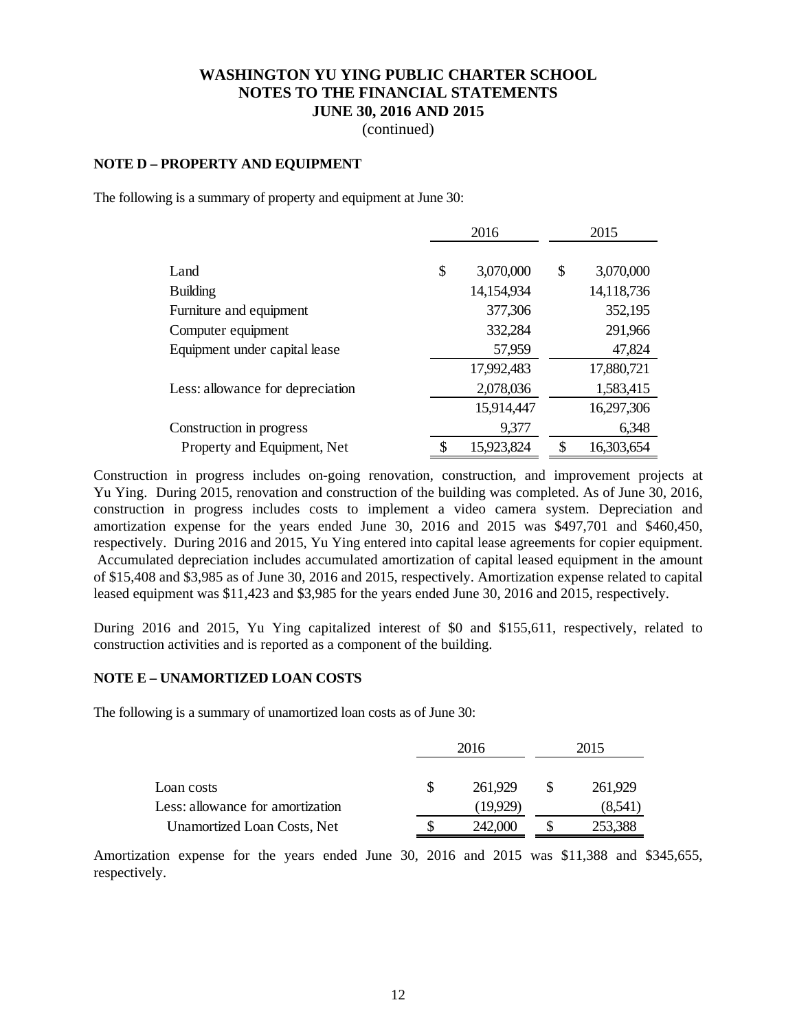(continued)

### **NOTE D – PROPERTY AND EQUIPMENT**

The following is a summary of property and equipment at June 30:

|                                  |    | 2016       |    |            |  | 2015 |
|----------------------------------|----|------------|----|------------|--|------|
| Land                             | \$ | 3,070,000  | \$ | 3,070,000  |  |      |
| <b>Building</b>                  |    | 14,154,934 |    | 14,118,736 |  |      |
| Furniture and equipment          |    | 377,306    |    | 352,195    |  |      |
| Computer equipment               |    | 332,284    |    | 291,966    |  |      |
| Equipment under capital lease    |    | 57,959     |    | 47,824     |  |      |
|                                  |    | 17,992,483 |    | 17,880,721 |  |      |
| Less: allowance for depreciation |    | 2,078,036  |    | 1,583,415  |  |      |
|                                  |    | 15,914,447 |    | 16,297,306 |  |      |
| Construction in progress         |    | 9,377      |    | 6,348      |  |      |
| Property and Equipment, Net      | \$ | 15,923,824 | \$ | 16,303,654 |  |      |

Construction in progress includes on-going renovation, construction, and improvement projects at Yu Ying. During 2015, renovation and construction of the building was completed. As of June 30, 2016, construction in progress includes costs to implement a video camera system. Depreciation and amortization expense for the years ended June 30, 2016 and 2015 was \$497,701 and \$460,450, respectively. During 2016 and 2015, Yu Ying entered into capital lease agreements for copier equipment. Accumulated depreciation includes accumulated amortization of capital leased equipment in the amount of \$15,408 and \$3,985 as of June 30, 2016 and 2015, respectively. Amortization expense related to capital leased equipment was \$11,423 and \$3,985 for the years ended June 30, 2016 and 2015, respectively.

During 2016 and 2015, Yu Ying capitalized interest of \$0 and \$155,611, respectively, related to construction activities and is reported as a component of the building.

#### **NOTE E – UNAMORTIZED LOAN COSTS**

The following is a summary of unamortized loan costs as of June 30:

|                                  | 2016     | 2015 |         |  |
|----------------------------------|----------|------|---------|--|
| Loan costs                       | 261,929  |      | 261,929 |  |
| Less: allowance for amortization | (19,929) |      | (8,541) |  |
| Unamortized Loan Costs, Net      | 242,000  |      | 253,388 |  |

Amortization expense for the years ended June 30, 2016 and 2015 was \$11,388 and \$345,655, respectively.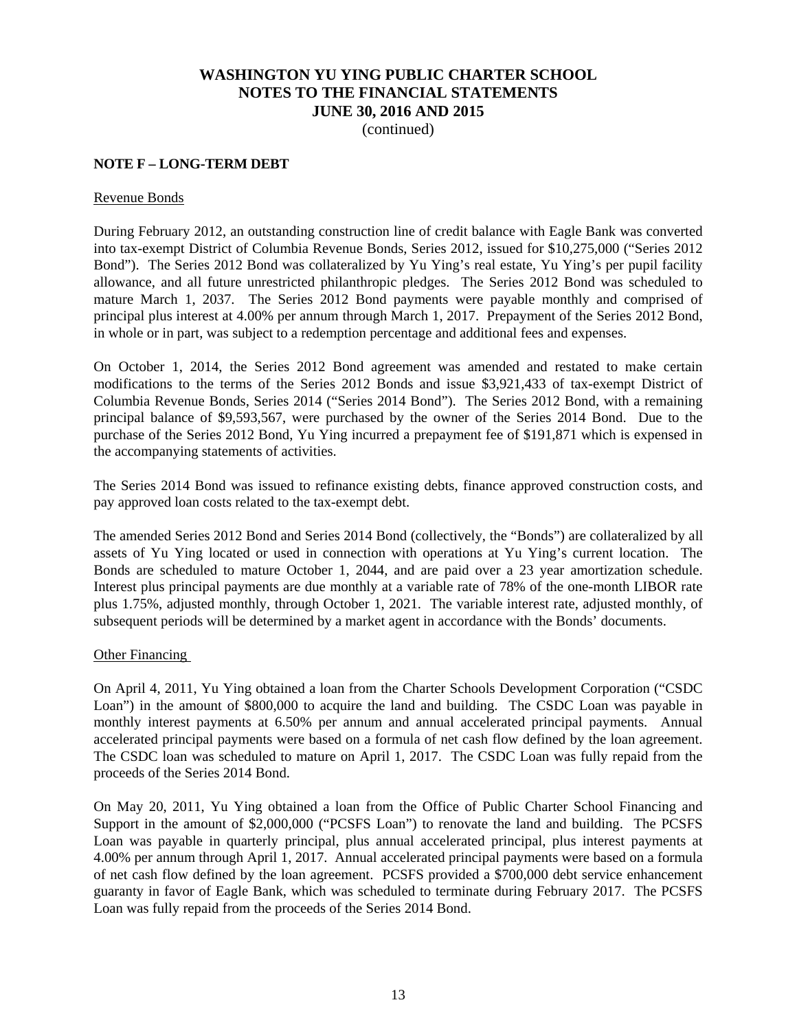(continued)

# **NOTE F – LONG-TERM DEBT**

#### Revenue Bonds

During February 2012, an outstanding construction line of credit balance with Eagle Bank was converted into tax-exempt District of Columbia Revenue Bonds, Series 2012, issued for \$10,275,000 ("Series 2012 Bond"). The Series 2012 Bond was collateralized by Yu Ying's real estate, Yu Ying's per pupil facility allowance, and all future unrestricted philanthropic pledges. The Series 2012 Bond was scheduled to mature March 1, 2037. The Series 2012 Bond payments were payable monthly and comprised of principal plus interest at 4.00% per annum through March 1, 2017. Prepayment of the Series 2012 Bond, in whole or in part, was subject to a redemption percentage and additional fees and expenses.

On October 1, 2014, the Series 2012 Bond agreement was amended and restated to make certain modifications to the terms of the Series 2012 Bonds and issue \$3,921,433 of tax-exempt District of Columbia Revenue Bonds, Series 2014 ("Series 2014 Bond"). The Series 2012 Bond, with a remaining principal balance of \$9,593,567, were purchased by the owner of the Series 2014 Bond. Due to the purchase of the Series 2012 Bond, Yu Ying incurred a prepayment fee of \$191,871 which is expensed in the accompanying statements of activities.

The Series 2014 Bond was issued to refinance existing debts, finance approved construction costs, and pay approved loan costs related to the tax-exempt debt.

The amended Series 2012 Bond and Series 2014 Bond (collectively, the "Bonds") are collateralized by all assets of Yu Ying located or used in connection with operations at Yu Ying's current location. The Bonds are scheduled to mature October 1, 2044, and are paid over a 23 year amortization schedule. Interest plus principal payments are due monthly at a variable rate of 78% of the one-month LIBOR rate plus 1.75%, adjusted monthly, through October 1, 2021. The variable interest rate, adjusted monthly, of subsequent periods will be determined by a market agent in accordance with the Bonds' documents.

#### Other Financing

On April 4, 2011, Yu Ying obtained a loan from the Charter Schools Development Corporation ("CSDC Loan") in the amount of \$800,000 to acquire the land and building. The CSDC Loan was payable in monthly interest payments at 6.50% per annum and annual accelerated principal payments. Annual accelerated principal payments were based on a formula of net cash flow defined by the loan agreement. The CSDC loan was scheduled to mature on April 1, 2017. The CSDC Loan was fully repaid from the proceeds of the Series 2014 Bond.

On May 20, 2011, Yu Ying obtained a loan from the Office of Public Charter School Financing and Support in the amount of \$2,000,000 ("PCSFS Loan") to renovate the land and building. The PCSFS Loan was payable in quarterly principal, plus annual accelerated principal, plus interest payments at 4.00% per annum through April 1, 2017. Annual accelerated principal payments were based on a formula of net cash flow defined by the loan agreement. PCSFS provided a \$700,000 debt service enhancement guaranty in favor of Eagle Bank, which was scheduled to terminate during February 2017. The PCSFS Loan was fully repaid from the proceeds of the Series 2014 Bond.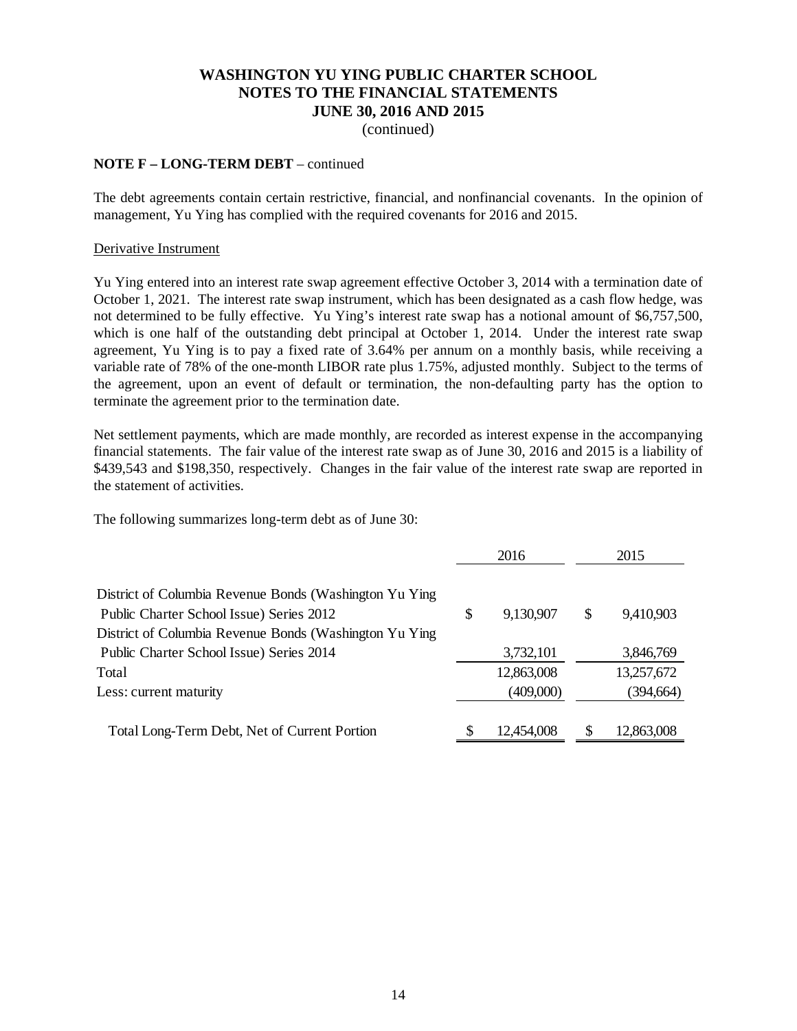(continued)

## **NOTE F – LONG-TERM DEBT** – continued

The debt agreements contain certain restrictive, financial, and nonfinancial covenants. In the opinion of management, Yu Ying has complied with the required covenants for 2016 and 2015.

#### Derivative Instrument

Yu Ying entered into an interest rate swap agreement effective October 3, 2014 with a termination date of October 1, 2021. The interest rate swap instrument, which has been designated as a cash flow hedge, was not determined to be fully effective. Yu Ying's interest rate swap has a notional amount of \$6,757,500, which is one half of the outstanding debt principal at October 1, 2014. Under the interest rate swap agreement, Yu Ying is to pay a fixed rate of 3.64% per annum on a monthly basis, while receiving a variable rate of 78% of the one-month LIBOR rate plus 1.75%, adjusted monthly. Subject to the terms of the agreement, upon an event of default or termination, the non-defaulting party has the option to terminate the agreement prior to the termination date.

Net settlement payments, which are made monthly, are recorded as interest expense in the accompanying financial statements. The fair value of the interest rate swap as of June 30, 2016 and 2015 is a liability of \$439,543 and \$198,350, respectively. Changes in the fair value of the interest rate swap are reported in the statement of activities.

The following summarizes long-term debt as of June 30:

|                                                        | 2016            |    | 2015       |
|--------------------------------------------------------|-----------------|----|------------|
| District of Columbia Revenue Bonds (Washington Yu Ying |                 |    |            |
| Public Charter School Issue) Series 2012               | \$<br>9,130,907 | \$ | 9,410,903  |
| District of Columbia Revenue Bonds (Washington Yu Ying |                 |    |            |
| Public Charter School Issue) Series 2014               | 3,732,101       |    | 3,846,769  |
| Total                                                  | 12,863,008      |    | 13,257,672 |
| Less: current maturity                                 | (409,000)       |    | (394, 664) |
| Total Long-Term Debt, Net of Current Portion           | 12,454,008      | S  | 12,863,008 |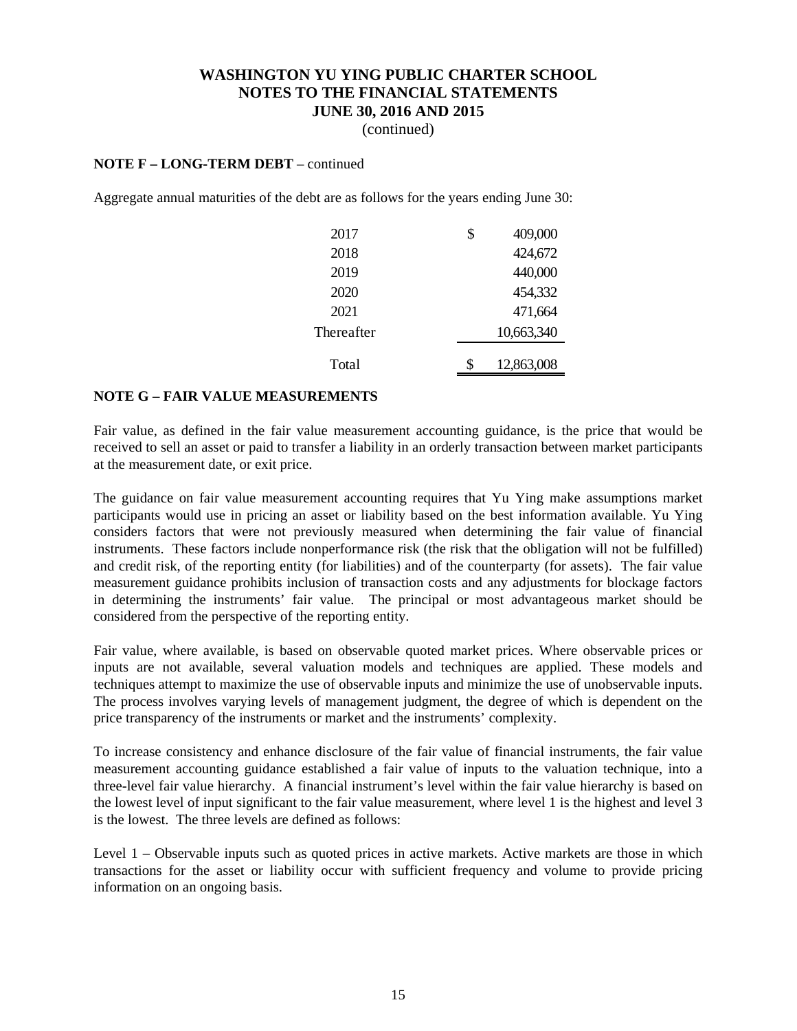(continued)

## **NOTE F – LONG-TERM DEBT** – continued

Aggregate annual maturities of the debt are as follows for the years ending June 30:

| 2017       | \$<br>409,000 |
|------------|---------------|
| 2018       | 424,672       |
| 2019       | 440,000       |
| 2020       | 454,332       |
| 2021       | 471,664       |
| Thereafter | 10,663,340    |
| Total      | 12,863,008    |

## **NOTE G – FAIR VALUE MEASUREMENTS**

Fair value, as defined in the fair value measurement accounting guidance, is the price that would be received to sell an asset or paid to transfer a liability in an orderly transaction between market participants at the measurement date, or exit price.

The guidance on fair value measurement accounting requires that Yu Ying make assumptions market participants would use in pricing an asset or liability based on the best information available. Yu Ying considers factors that were not previously measured when determining the fair value of financial instruments. These factors include nonperformance risk (the risk that the obligation will not be fulfilled) and credit risk, of the reporting entity (for liabilities) and of the counterparty (for assets). The fair value measurement guidance prohibits inclusion of transaction costs and any adjustments for blockage factors in determining the instruments' fair value. The principal or most advantageous market should be considered from the perspective of the reporting entity.

Fair value, where available, is based on observable quoted market prices. Where observable prices or inputs are not available, several valuation models and techniques are applied. These models and techniques attempt to maximize the use of observable inputs and minimize the use of unobservable inputs. The process involves varying levels of management judgment, the degree of which is dependent on the price transparency of the instruments or market and the instruments' complexity.

To increase consistency and enhance disclosure of the fair value of financial instruments, the fair value measurement accounting guidance established a fair value of inputs to the valuation technique, into a three-level fair value hierarchy. A financial instrument's level within the fair value hierarchy is based on the lowest level of input significant to the fair value measurement, where level 1 is the highest and level 3 is the lowest. The three levels are defined as follows:

Level 1 – Observable inputs such as quoted prices in active markets. Active markets are those in which transactions for the asset or liability occur with sufficient frequency and volume to provide pricing information on an ongoing basis.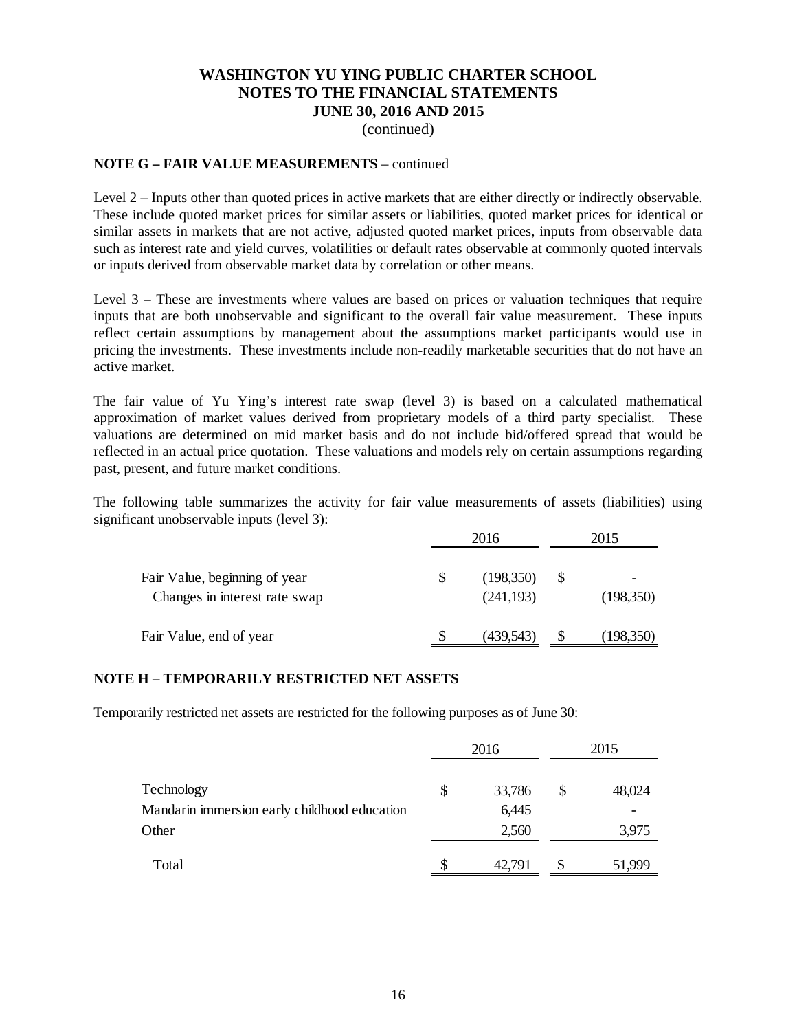(continued)

# **NOTE G – FAIR VALUE MEASUREMENTS** – continued

Level 2 – Inputs other than quoted prices in active markets that are either directly or indirectly observable. These include quoted market prices for similar assets or liabilities, quoted market prices for identical or similar assets in markets that are not active, adjusted quoted market prices, inputs from observable data such as interest rate and yield curves, volatilities or default rates observable at commonly quoted intervals or inputs derived from observable market data by correlation or other means.

Level 3 – These are investments where values are based on prices or valuation techniques that require inputs that are both unobservable and significant to the overall fair value measurement. These inputs reflect certain assumptions by management about the assumptions market participants would use in pricing the investments. These investments include non-readily marketable securities that do not have an active market.

The fair value of Yu Ying's interest rate swap (level 3) is based on a calculated mathematical approximation of market values derived from proprietary models of a third party specialist. These valuations are determined on mid market basis and do not include bid/offered spread that would be reflected in an actual price quotation. These valuations and models rely on certain assumptions regarding past, present, and future market conditions.

The following table summarizes the activity for fair value measurements of assets (liabilities) using significant unobservable inputs (level 3):

| Fair Value, beginning of year |   | 2015       |  |           |
|-------------------------------|---|------------|--|-----------|
|                               | S | (198,350)  |  | -         |
| Changes in interest rate swap |   | (241, 193) |  | (198,350) |
| Fair Value, end of year       |   | (439,543)  |  | (198,350  |

#### **NOTE H – TEMPORARILY RESTRICTED NET ASSETS**

Temporarily restricted net assets are restricted for the following purposes as of June 30:

|                                              |    | 2016   | 2015 |        |  |
|----------------------------------------------|----|--------|------|--------|--|
| Technology                                   | \$ | 33,786 | S    | 48,024 |  |
| Mandarin immersion early childhood education |    | 6,445  |      |        |  |
| Other                                        |    | 2,560  |      | 3,975  |  |
| Total                                        |    | 42,791 | S    | 51,999 |  |
|                                              |    |        |      |        |  |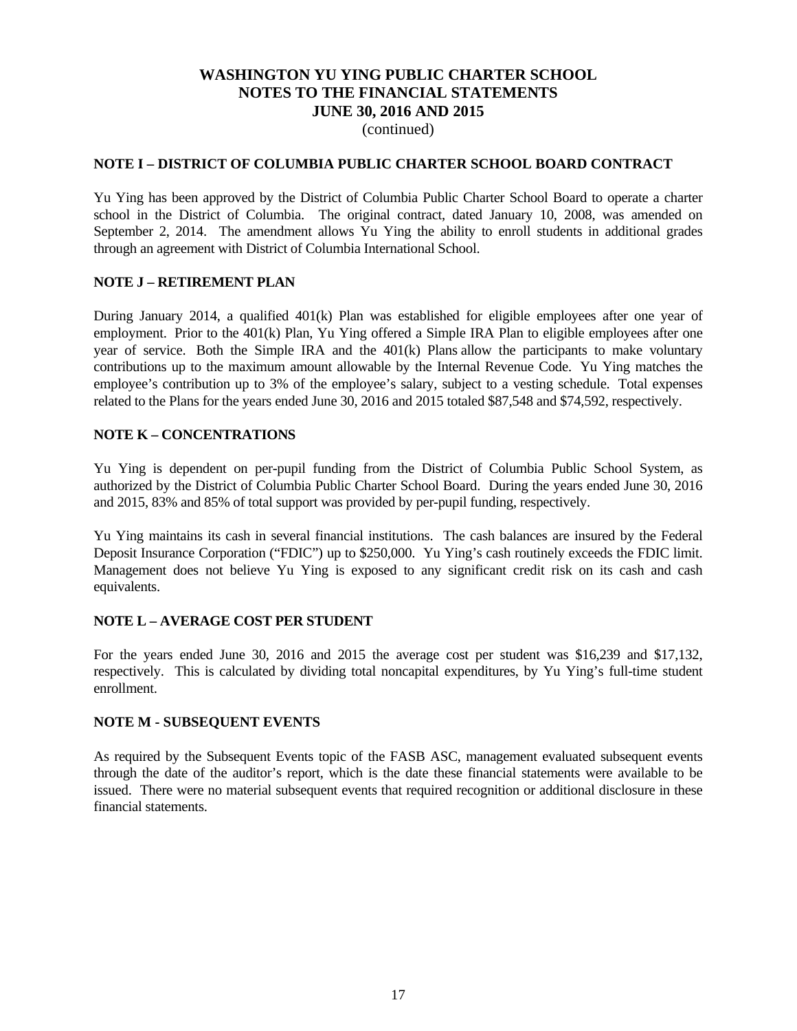(continued)

## **NOTE I – DISTRICT OF COLUMBIA PUBLIC CHARTER SCHOOL BOARD CONTRACT**

Yu Ying has been approved by the District of Columbia Public Charter School Board to operate a charter school in the District of Columbia. The original contract, dated January 10, 2008, was amended on September 2, 2014. The amendment allows Yu Ying the ability to enroll students in additional grades through an agreement with District of Columbia International School.

# **NOTE J – RETIREMENT PLAN**

During January 2014, a qualified 401(k) Plan was established for eligible employees after one year of employment. Prior to the 401(k) Plan, Yu Ying offered a Simple IRA Plan to eligible employees after one year of service. Both the Simple IRA and the 401(k) Plans allow the participants to make voluntary contributions up to the maximum amount allowable by the Internal Revenue Code. Yu Ying matches the employee's contribution up to 3% of the employee's salary, subject to a vesting schedule. Total expenses related to the Plans for the years ended June 30, 2016 and 2015 totaled \$87,548 and \$74,592, respectively.

### **NOTE K – CONCENTRATIONS**

Yu Ying is dependent on per-pupil funding from the District of Columbia Public School System, as authorized by the District of Columbia Public Charter School Board. During the years ended June 30, 2016 and 2015, 83% and 85% of total support was provided by per-pupil funding, respectively.

Yu Ying maintains its cash in several financial institutions. The cash balances are insured by the Federal Deposit Insurance Corporation ("FDIC") up to \$250,000. Yu Ying's cash routinely exceeds the FDIC limit. Management does not believe Yu Ying is exposed to any significant credit risk on its cash and cash equivalents.

# **NOTE L – AVERAGE COST PER STUDENT**

For the years ended June 30, 2016 and 2015 the average cost per student was \$16,239 and \$17,132, respectively. This is calculated by dividing total noncapital expenditures, by Yu Ying's full-time student enrollment.

#### **NOTE M - SUBSEQUENT EVENTS**

As required by the Subsequent Events topic of the FASB ASC, management evaluated subsequent events through the date of the auditor's report, which is the date these financial statements were available to be issued. There were no material subsequent events that required recognition or additional disclosure in these financial statements.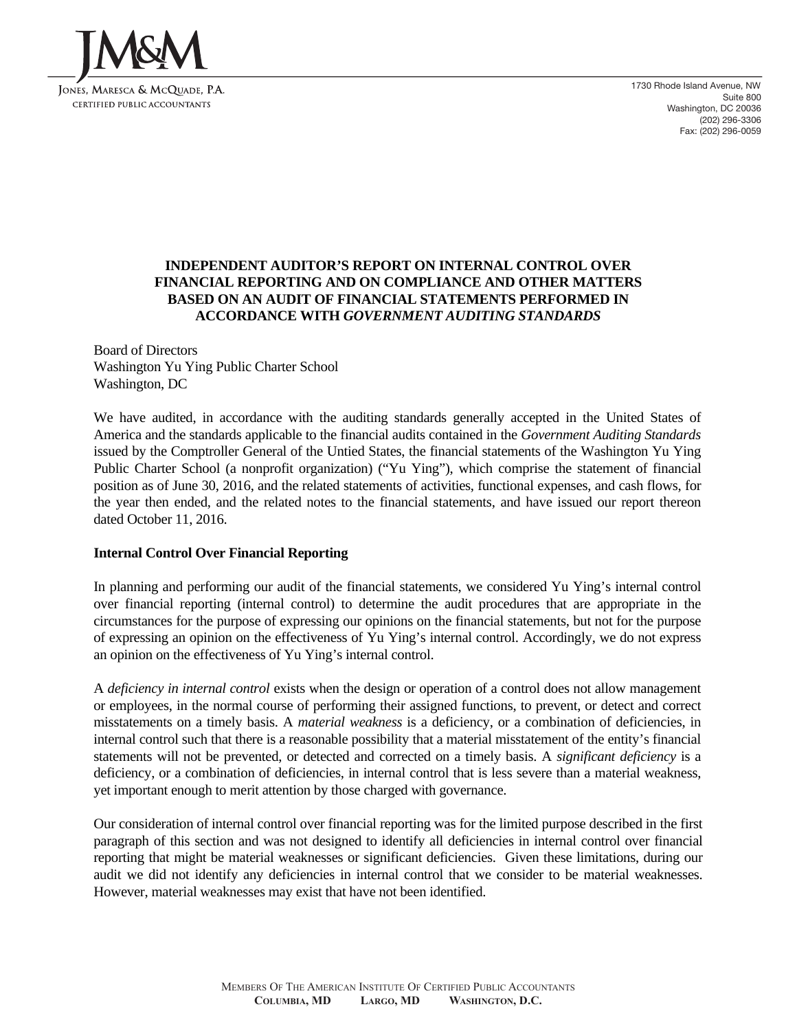

1730 Rhode Island Avenue, NW Suite 800 Washington, DC 20036 (202) 296-3306 Fax: (202) 296-0059

# **INDEPENDENT AUDITOR'S REPORT ON INTERNAL CONTROL OVER FINANCIAL REPORTING AND ON COMPLIANCE AND OTHER MATTERS BASED ON AN AUDIT OF FINANCIAL STATEMENTS PERFORMED IN ACCORDANCE WITH** *GOVERNMENT AUDITING STANDARDS*

Board of Directors Washington Yu Ying Public Charter School Washington, DC

We have audited, in accordance with the auditing standards generally accepted in the United States of America and the standards applicable to the financial audits contained in the *Government Auditing Standards* issued by the Comptroller General of the Untied States, the financial statements of the Washington Yu Ying Public Charter School (a nonprofit organization) ("Yu Ying"), which comprise the statement of financial position as of June 30, 2016, and the related statements of activities, functional expenses, and cash flows, for the year then ended, and the related notes to the financial statements, and have issued our report thereon dated October 11, 2016.

#### **Internal Control Over Financial Reporting**

In planning and performing our audit of the financial statements, we considered Yu Ying's internal control over financial reporting (internal control) to determine the audit procedures that are appropriate in the circumstances for the purpose of expressing our opinions on the financial statements, but not for the purpose of expressing an opinion on the effectiveness of Yu Ying's internal control. Accordingly, we do not express an opinion on the effectiveness of Yu Ying's internal control.

A *deficiency in internal control* exists when the design or operation of a control does not allow management or employees, in the normal course of performing their assigned functions, to prevent, or detect and correct misstatements on a timely basis. A *material weakness* is a deficiency, or a combination of deficiencies, in internal control such that there is a reasonable possibility that a material misstatement of the entity's financial statements will not be prevented, or detected and corrected on a timely basis. A *significant deficiency* is a deficiency, or a combination of deficiencies, in internal control that is less severe than a material weakness, yet important enough to merit attention by those charged with governance.

Our consideration of internal control over financial reporting was for the limited purpose described in the first paragraph of this section and was not designed to identify all deficiencies in internal control over financial reporting that might be material weaknesses or significant deficiencies. Given these limitations, during our audit we did not identify any deficiencies in internal control that we consider to be material weaknesses. However, material weaknesses may exist that have not been identified.